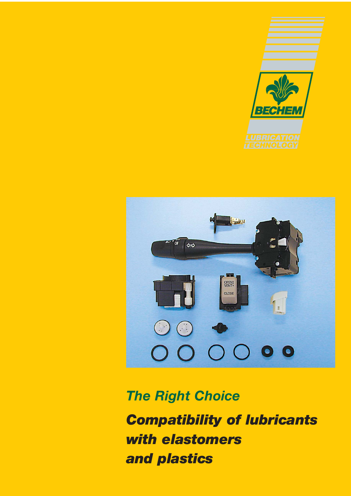



*The Right Choice*

*Compatibility of lubricants with elastomers and plastics*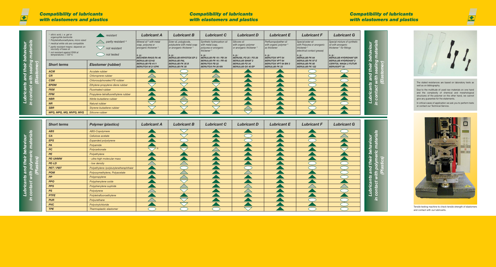*Lubricants and their behaviour in contact with polymeric materials* **Lubricants and their behaviour<br>in contact with polymeric materials<br>(Plastics)**  The stated resistances are based on laboratory tests as well as on bibliography.

Due to the multitude of used raw materials on one hand and the complexity of chemical and morphological structures of the polymer on the other hand, we cannot give any guarantee for the statements.

In critical cases of application we ask you to perform tests or contact our Technical Service.

| silicic acid, i. e. gel or<br>organophile bentonite                                                                     | resistant                           | <b>Lubricant A</b>                                                        | <b>Lubricant B</b>                                                   | <b>Lubricant C</b>                                                              | <b>Lubricant D</b>                                                        | <b>Lubricant E</b>                                                          | <b>Lubricant F</b>                                                      | <b>Lubricant G</b>                                                            |
|-------------------------------------------------------------------------------------------------------------------------|-------------------------------------|---------------------------------------------------------------------------|----------------------------------------------------------------------|---------------------------------------------------------------------------------|---------------------------------------------------------------------------|-----------------------------------------------------------------------------|-------------------------------------------------------------------------|-------------------------------------------------------------------------------|
| <sup>2)</sup> Polytetrafluoroethylene, micro sized<br><sup>3)</sup> medical white oils are compatible                   | partly resistant <sup>4)</sup>      | Mineral oil <sup>5</sup> with metal<br>soap, polyurea or                  | Ester oil, polyglycole,<br>polybutene with metal soap                | Synthetic hydrocarbon oil<br>with metal soap,                                   | Silicone oil<br>with organic polymer                                      | Perfluoropolyether oil<br>with organic polymer <sup>2)</sup>                | Special ester oil<br>with Polyurea or anorganic                         | Special mixture of synthetic<br>oil with anorganic                            |
| <sup>4)</sup> partly resistant means: depends on<br>viscosity of base oil<br><sup>5)</sup> not resistant against FKM at | not resistant                       | anorganic thickener <sup>1)</sup>                                         | or anorganic thickener <sup>1)</sup>                                 | polyurea or anorganic<br>thickener <sup>1)</sup>                                | or anorganic thickener $\sqrt[n]{ }$                                      | as thickener                                                                | thickener <sup><math>1</math></sup><br>(electrical contact grease)      | thickener <sup>1)</sup> for fittings                                          |
| temperatures > $120^{\circ}$ C                                                                                          | not tested                          | e.g.:<br><b>BECHEM-RHUS FA 46</b>                                         | e. $g$ .:<br><b>BERULUB KRYOTOX EP 2</b>                             | e.g.:<br><b>BERULUB FB 19 / FB 34</b>                                           | e.g.:<br><b>BERUSIL FO 25 / FO 26</b>                                     | e.g.:<br><b>BERUTOX VPT 54</b>                                              | e. g.:<br><b>BERULUB FK 64</b>                                          | e. g.:<br><b>BERULUB HYDROHAF GR</b>                                          |
| <b>Short terms</b>                                                                                                      | <b>Elastomer (rubber)</b>           | <b>BERULUB 52142</b><br><b>BERULUB FB 41/1</b><br><b>BERUTOX M 21 EPK</b> | <b>BERULUB PAL</b><br><b>BERULUB FK 35 B</b><br><b>BERULUB FK 30</b> | <b>BERULUB FR 16 / FR 43</b><br><b>BERUTOX FB 22</b><br><b>BERUTOX FH 28 KN</b> | <b>BERULUB SIHAF 2</b><br><b>BERULUB FO 34</b><br><b>BERULUB OX 40 EP</b> | <b>BERUTOX VPT 64</b><br><b>BERUTOX VPT 64 BN 3</b><br><b>BERULUB FK 33</b> | <b>BERULUB FK 97 E</b><br><b>BERULUB FK 80</b><br><b>BERULUB FK 122</b> | <b>BERULUB HYDROHAF2</b><br><b>CERITOL WAGA 2 FUTUR</b><br><b>BERUSOFT 30</b> |
| <b>ACM</b>                                                                                                              | Acrylate rubber                     |                                                                           |                                                                      |                                                                                 |                                                                           |                                                                             |                                                                         |                                                                               |
| CR                                                                                                                      | Chloroprene rubber                  |                                                                           |                                                                      |                                                                                 |                                                                           |                                                                             |                                                                         |                                                                               |
| <b>CSM</b>                                                                                                              | <b>Chlorosulphonated PE-rubber</b>  |                                                                           |                                                                      |                                                                                 |                                                                           |                                                                             | ta a                                                                    |                                                                               |
| <b>EPDM</b>                                                                                                             | Ethylene-propylene-diene rubber     |                                                                           |                                                                      |                                                                                 |                                                                           |                                                                             |                                                                         |                                                                               |
| <b>FKM</b>                                                                                                              | <b>Fluorinated rubber</b>           |                                                                           |                                                                      |                                                                                 |                                                                           |                                                                             |                                                                         |                                                                               |
| <b>FPM</b>                                                                                                              | Propylene-tetrafluorethylene rubber |                                                                           |                                                                      |                                                                                 |                                                                           |                                                                             |                                                                         |                                                                               |
| <b>NBR</b>                                                                                                              | Nitrile-butadiene rubber            |                                                                           |                                                                      |                                                                                 |                                                                           |                                                                             |                                                                         |                                                                               |
| NR                                                                                                                      | Natural rubber                      | $\sim$                                                                    |                                                                      | $\overline{\phantom{0}}$                                                        |                                                                           |                                                                             |                                                                         |                                                                               |
| <b>SBR</b>                                                                                                              | Styrene-butadiene rubber            |                                                                           |                                                                      |                                                                                 |                                                                           |                                                                             |                                                                         |                                                                               |
| MFQ, MPQ, MQ, MVFQ, MVQ                                                                                                 | Silicone rubber                     |                                                                           |                                                                      |                                                                                 |                                                                           |                                                                             |                                                                         |                                                                               |

*(Elastomer)*





Tensile testing machine to check tensile strength of elastomers and contact with our lubricants.

# $\frac{1}{\frac{1}{2}}$

## *Compatibility of lubricants with elastomers and plastics*

## *Compatibility of lubricants with elastomers and plastics*

### *Compatibility of lubricants with elastomers and plastics*

| <b>Short terms</b> | <b>Polymer (plastics)</b>               | <b>Lubricant A</b> | <b>Lubricant B</b> | <b>Lubricant C</b> | <b>Lubricant D</b> | <b>Lubricant E</b> | <b>Lubricant F</b> | <b>Lubricant G</b> |  |
|--------------------|-----------------------------------------|--------------------|--------------------|--------------------|--------------------|--------------------|--------------------|--------------------|--|
| <b>ABS</b>         | ABS-Copolymere                          |                    | $\sim$             |                    |                    |                    |                    |                    |  |
| CA                 | Cellulose acetate                       |                    | $\sim$             |                    |                    |                    |                    |                    |  |
| <b>EPS</b>         | Expanded polystyrene                    |                    |                    |                    |                    |                    |                    |                    |  |
| PA                 | Polyamide                               |                    |                    |                    |                    |                    |                    |                    |  |
| <b>PC</b>          | Polycarbonate                           | $\rightarrow$ 3)   |                    |                    |                    |                    |                    |                    |  |
| PE                 | Polyethylene                            |                    |                    |                    |                    |                    |                    |                    |  |
| <b>PE-UHMW</b>     | - ultra high molecular mass             |                    |                    |                    |                    |                    |                    |                    |  |
| PE-LD              | - low density                           |                    |                    |                    |                    |                    |                    |                    |  |
| PET / PBT          | Polyethylene-/polybutylenetherephthalat |                    |                    |                    |                    |                    |                    |                    |  |
| <b>POM</b>         | Polyoxymethylene, Polyacetate           |                    |                    |                    |                    |                    |                    |                    |  |
| PP                 | Polypropylene                           |                    |                    |                    |                    |                    |                    |                    |  |
| <b>PPO</b>         | Polyphenylene oxide                     |                    |                    |                    |                    |                    |                    |                    |  |
| <b>PPS</b>         | Polyphenylene suphide                   |                    |                    |                    |                    |                    |                    |                    |  |
| <b>PS</b>          | Polystyrene                             |                    |                    |                    |                    |                    |                    |                    |  |
| <b>PTFE</b>        | Polytetrafluoroethylene                 |                    |                    |                    |                    |                    |                    |                    |  |
| <b>PUR</b>         | Polyurethane                            |                    | in 19              |                    |                    |                    |                    |                    |  |
| <b>PVC</b>         | Polyvinylchloride                       |                    |                    |                    |                    |                    |                    |                    |  |
| <b>TPE</b>         | Thermoplastic elastomer                 |                    |                    |                    |                    |                    |                    |                    |  |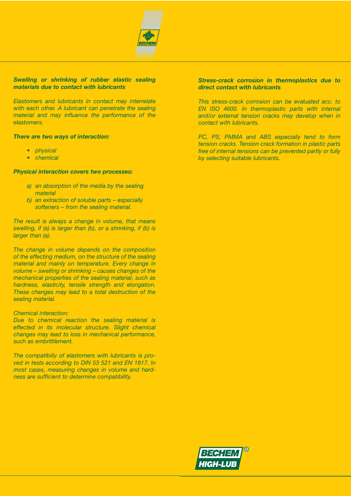

#### *Swelling or shrinking of rubber elastic sealing materials due to contact with lubricants*

*Elastomers and lubricants in contact may interrelate with each other. A lubricant can penetrate the sealing material and may influence the performance of the elastomers.*

#### *There are two ways of interaction:*

- *• physical*
- *• chemical*

#### *Physical interaction covers two processes:*

- *a) an absorption of the media by the sealing material*
- *b) an extraction of soluble parts especially softeners – from the sealing material.*

*The result is always a change in volume, that means swelling, if (a) is larger than (b), or a shrinking, if (b) is larger than (a).*

*The change in volume depends on the composition of the effecting medium, on the structure of the sealing material and mainly on temperature. Every change in volume – swelling or shrinking – causes changes of the mechanical properties of the sealing material, such as hardness, elasticity, tensile strength and elongation. These changes may lead to a total destruction of the sealing material.*

#### *Chemical interaction:*

*Due to chemical reaction the sealing material is effected in its molecular structure. Slight chemical changes may lead to loss in mechanical performance, such as embrittlement.*

*The compatibiliy of elastomers with lubricants is proved in tests according to DIN 53 521 and EN 1817. In most cases, measuring changes in volume and hardness are sufficient to determine compatibility.*

#### *Stress-crack corrosion in thermoplastics due to direct contact with lubricants*

*This stress-crack corrosion can be evaluated acc. to EN ISO 4600. In thermoplastic parts with internal and/or external tension cracks may develop when in contact with lubricants.*

*PC, PS, PMMA and ABS especially tend to form tension cracks. Tension crack formation in plastic parts free of internal tensions can be prevented partly or fully by selecting suitable lubricants.*